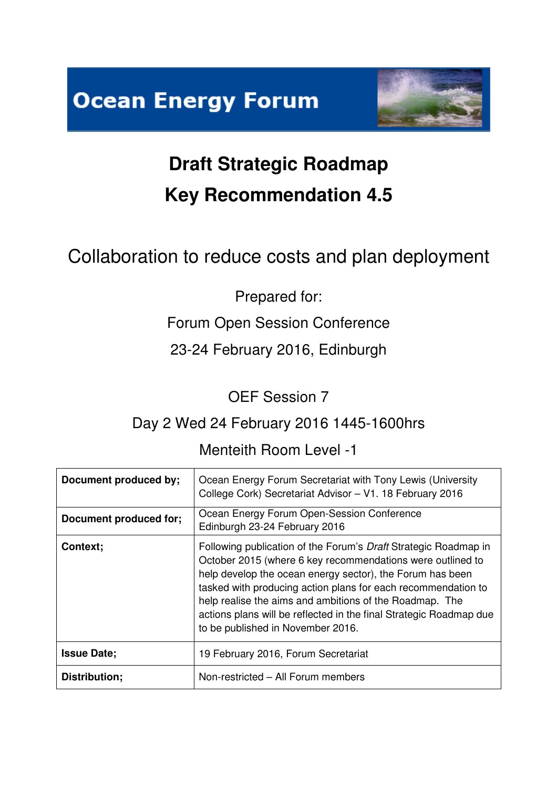



# **Draft Strategic Roadmap Key Recommendation 4.5**

## Collaboration to reduce costs and plan deployment

## Prepared for:

## Forum Open Session Conference

## 23-24 February 2016, Edinburgh

OEF Session 7

## Day 2 Wed 24 February 2016 1445-1600hrs

### Menteith Room Level -1

| Document produced by;  | Ocean Energy Forum Secretariat with Tony Lewis (University<br>College Cork) Secretariat Advisor - V1. 18 February 2016                                                                                                                                                                                                                                                                                                            |
|------------------------|-----------------------------------------------------------------------------------------------------------------------------------------------------------------------------------------------------------------------------------------------------------------------------------------------------------------------------------------------------------------------------------------------------------------------------------|
| Document produced for; | Ocean Energy Forum Open-Session Conference<br>Edinburgh 23-24 February 2016                                                                                                                                                                                                                                                                                                                                                       |
| Context;               | Following publication of the Forum's Draft Strategic Roadmap in<br>October 2015 (where 6 key recommendations were outlined to<br>help develop the ocean energy sector), the Forum has been<br>tasked with producing action plans for each recommendation to<br>help realise the aims and ambitions of the Roadmap. The<br>actions plans will be reflected in the final Strategic Roadmap due<br>to be published in November 2016. |
| <b>Issue Date:</b>     | 19 February 2016, Forum Secretariat                                                                                                                                                                                                                                                                                                                                                                                               |
| Distribution;          | Non-restricted - All Forum members                                                                                                                                                                                                                                                                                                                                                                                                |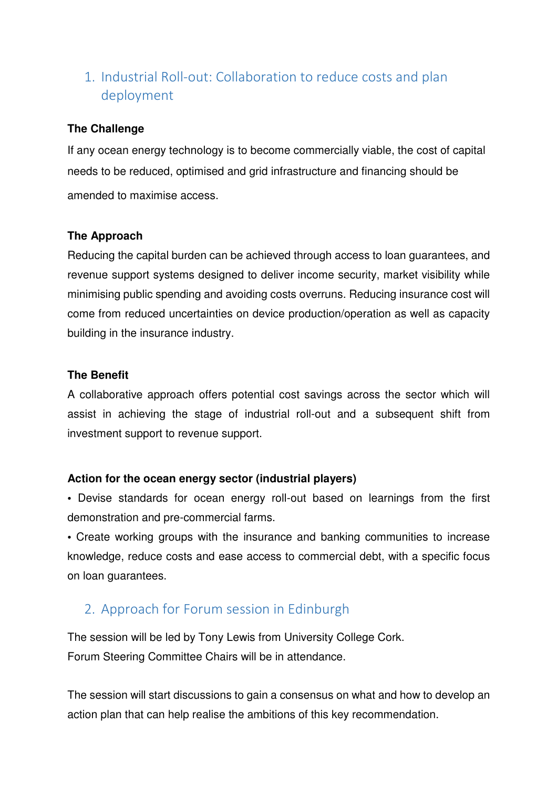#### 1. Industrial Roll-out: Collaboration to reduce costs and plan deployment

#### **The Challenge**

If any ocean energy technology is to become commercially viable, the cost of capital needs to be reduced, optimised and grid infrastructure and financing should be amended to maximise access.

#### **The Approach**

Reducing the capital burden can be achieved through access to loan guarantees, and revenue support systems designed to deliver income security, market visibility while minimising public spending and avoiding costs overruns. Reducing insurance cost will come from reduced uncertainties on device production/operation as well as capacity building in the insurance industry.

#### **The Benefit**

A collaborative approach offers potential cost savings across the sector which will assist in achieving the stage of industrial roll-out and a subsequent shift from investment support to revenue support.

#### **Action for the ocean energy sector (industrial players)**

**•** Devise standards for ocean energy roll-out based on learnings from the first demonstration and pre-commercial farms.

**•** Create working groups with the insurance and banking communities to increase knowledge, reduce costs and ease access to commercial debt, with a specific focus on loan guarantees.

#### 2. Approach for Forum session in Edinburgh

The session will be led by Tony Lewis from University College Cork. Forum Steering Committee Chairs will be in attendance.

The session will start discussions to gain a consensus on what and how to develop an action plan that can help realise the ambitions of this key recommendation.